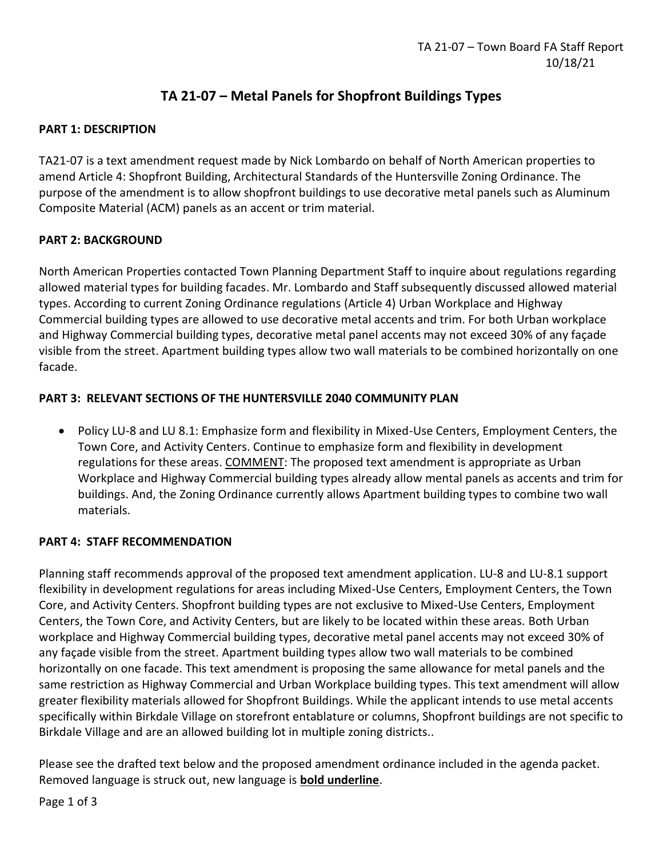# **TA 21-07 – Metal Panels for Shopfront Buildings Types**

# **PART 1: DESCRIPTION**

TA21-07 is a text amendment request made by Nick Lombardo on behalf of North American properties to amend Article 4: Shopfront Building, Architectural Standards of the Huntersville Zoning Ordinance. The purpose of the amendment is to allow shopfront buildings to use decorative metal panels such as Aluminum Composite Material (ACM) panels as an accent or trim material.

# **PART 2: BACKGROUND**

North American Properties contacted Town Planning Department Staff to inquire about regulations regarding allowed material types for building facades. Mr. Lombardo and Staff subsequently discussed allowed material types. According to current Zoning Ordinance regulations (Article 4) Urban Workplace and Highway Commercial building types are allowed to use decorative metal accents and trim. For both Urban workplace and Highway Commercial building types, decorative metal panel accents may not exceed 30% of any façade visible from the street. Apartment building types allow two wall materials to be combined horizontally on one facade.

# **PART 3: RELEVANT SECTIONS OF THE HUNTERSVILLE 2040 COMMUNITY PLAN**

• Policy LU-8 and LU 8.1: Emphasize form and flexibility in Mixed-Use Centers, Employment Centers, the Town Core, and Activity Centers. Continue to emphasize form and flexibility in development regulations for these areas. COMMENT: The proposed text amendment is appropriate as Urban Workplace and Highway Commercial building types already allow mental panels as accents and trim for buildings. And, the Zoning Ordinance currently allows Apartment building types to combine two wall materials.

#### **PART 4: STAFF RECOMMENDATION**

Planning staff recommends approval of the proposed text amendment application. LU-8 and LU-8.1 support flexibility in development regulations for areas including Mixed-Use Centers, Employment Centers, the Town Core, and Activity Centers. Shopfront building types are not exclusive to Mixed-Use Centers, Employment Centers, the Town Core, and Activity Centers, but are likely to be located within these areas. Both Urban workplace and Highway Commercial building types, decorative metal panel accents may not exceed 30% of any façade visible from the street. Apartment building types allow two wall materials to be combined horizontally on one facade. This text amendment is proposing the same allowance for metal panels and the same restriction as Highway Commercial and Urban Workplace building types. This text amendment will allow greater flexibility materials allowed for Shopfront Buildings. While the applicant intends to use metal accents specifically within Birkdale Village on storefront entablature or columns, Shopfront buildings are not specific to Birkdale Village and are an allowed building lot in multiple zoning districts..

Please see the drafted text below and the proposed amendment ordinance included in the agenda packet. Removed language is struck out, new language is **bold underline**.

Page 1 of 3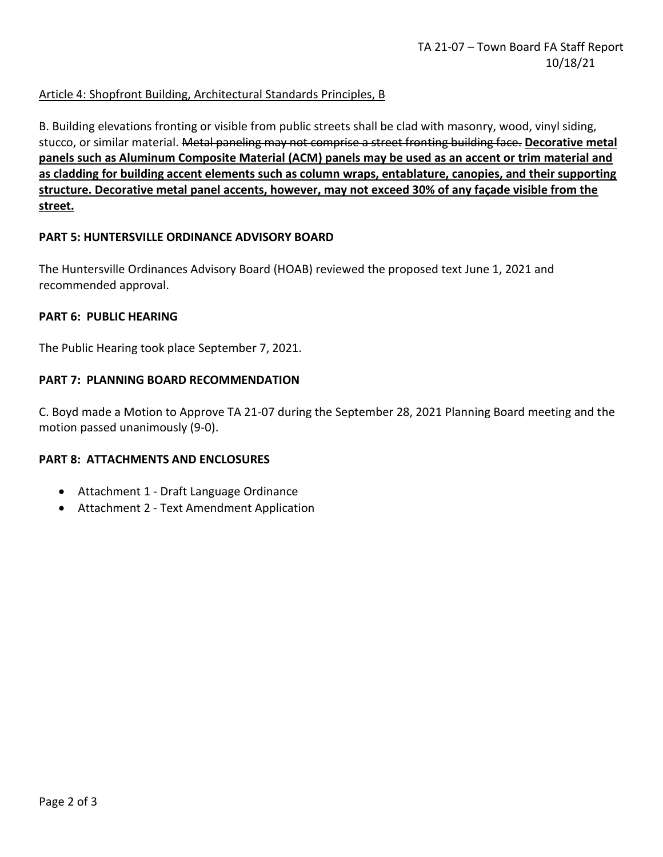# Article 4: Shopfront Building, Architectural Standards Principles, B

B. Building elevations fronting or visible from public streets shall be clad with masonry, wood, vinyl siding, stucco, or similar material. Metal paneling may not comprise a street fronting building face. **Decorative metal panels such as Aluminum Composite Material (ACM) panels may be used as an accent or trim material and as cladding for building accent elements such as column wraps, entablature, canopies, and their supporting structure. Decorative metal panel accents, however, may not exceed 30% of any façade visible from the street.**

#### **PART 5: HUNTERSVILLE ORDINANCE ADVISORY BOARD**

The Huntersville Ordinances Advisory Board (HOAB) reviewed the proposed text June 1, 2021 and recommended approval.

#### **PART 6: PUBLIC HEARING**

The Public Hearing took place September 7, 2021.

#### **PART 7: PLANNING BOARD RECOMMENDATION**

C. Boyd made a Motion to Approve TA 21-07 during the September 28, 2021 Planning Board meeting and the motion passed unanimously (9-0).

#### **PART 8: ATTACHMENTS AND ENCLOSURES**

- Attachment 1 Draft Language Ordinance
- Attachment 2 Text Amendment Application